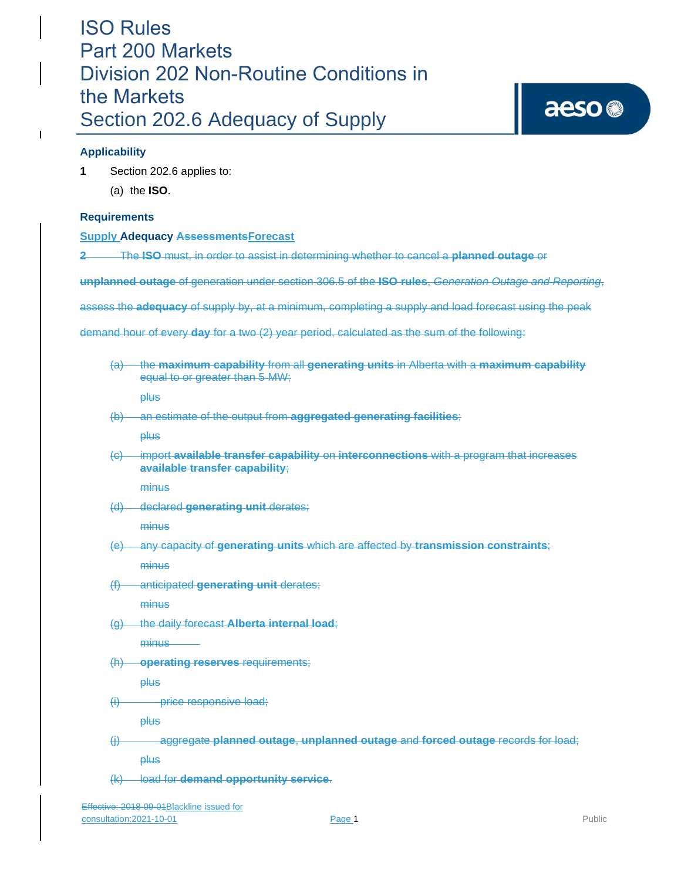### **Applicability**

 $\mathbf{I}$ 

- **1** Section 202.6 applies to:
	- (a) the **ISO**.

### **Requirements**

### **Supply Adequacy AssessmentsForecast**

**2** The **ISO** must, in order to assist in determining whether to cancel a **planned outage** or

**unplanned outage** of generation under section 306.5 of the **ISO rules**, *Generation Outage and Reporting*,

assess the **adequacy** of supply by, at a minimum, completing a supply and load forecast using the peak

demand hour of every **day** for a two (2) year period, calculated as the sum of the following:

(a) the **maximum capability** from all **generating units** in Alberta with a **maximum capability**  equal to or greater than 5 MW;

plus

(b) an estimate of the output from **aggregated generating facilities**;

plus

(c) import **available transfer capability** on **interconnections** with a program that increases **available transfer capability**;

**minus** 

(d) declared **generating unit** derates;

minus

(e) any capacity of **generating units** which are affected by **transmission constraints**;

minus

(f) anticipated **generating unit** derates;

minus

(g) the daily forecast **Alberta internal load**;

minus

(h) **operating reserves** requirements;

plus

(i) price responsive load;

plus

(j) aggregate **planned outage**, **unplanned outage** and **forced outage** records for load;

plus

(k) load for **demand opportunity service**.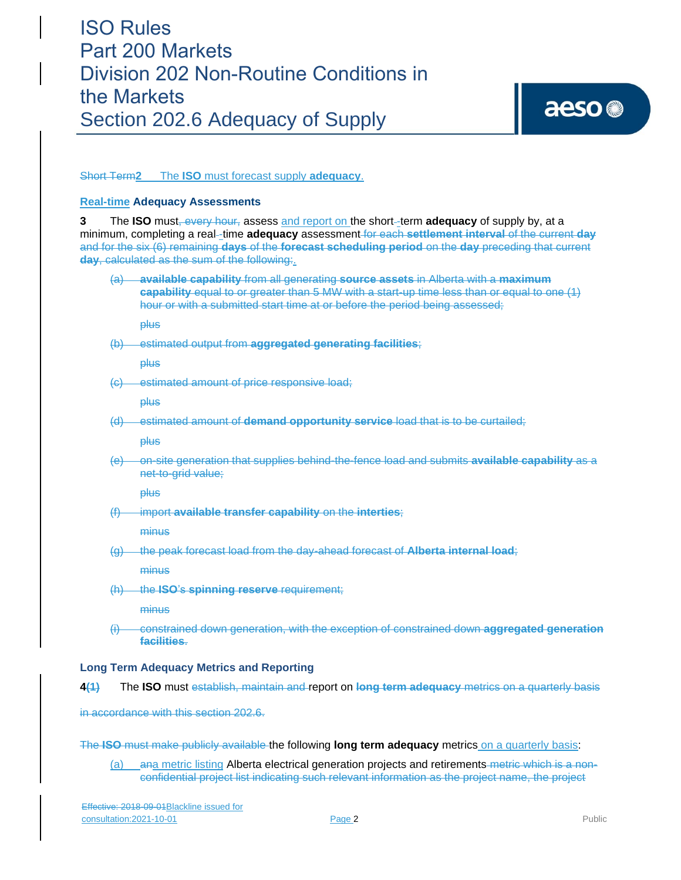### Short Term**2** The **ISO** must forecast supply **adequacy**.

#### **Real-time Adequacy Assessments**

**3** The **ISO** must, every hour, assess and report on the short -term **adequacy** of supply by, at a minimum, completing a real -time **adequacy** assessment for each **settlement interval** of the current **day** and for the six (6) remaining **days** of the **forecast scheduling period** on the **day** preceding that current **day**, calculated as the sum of the following:.

(a) **available capability** from all generating **source assets** in Alberta with a **maximum capability** equal to or greater than 5 MW with a start-up time less than or equal to one (1) hour or with a submitted start time at or before the period being assessed;

plus

(b) estimated output from **aggregated generating facilities**;

plus

(c) estimated amount of price responsive load;

plus

(d) estimated amount of **demand opportunity service** load that is to be curtailed;

plus

(e) on-site generation that supplies behind-the-fence load and submits **available capability** as a net-to-grid value;

**plus** 

(f) import **available transfer capability** on the **interties**;

minus

(g) the peak forecast load from the day-ahead forecast of **Alberta internal load**;

minus

(h) the **ISO**'s **spinning reserve** requirement;

**minus** 

(i) constrained down generation, with the exception of constrained down **aggregated generation facilities**.

### **Long Term Adequacy Metrics and Reporting**

**4(1)** The **ISO** must establish, maintain and report on **long term adequacy** metrics on a quarterly basis

in accordance with this section 202.6.

The **ISO** must make publicly available the following **long term adequacy** metrics on a quarterly basis:

(a) ana metric listing Alberta electrical generation projects and retirements metric which is a nonconfidential project list indicating such relevant information as the project name, the project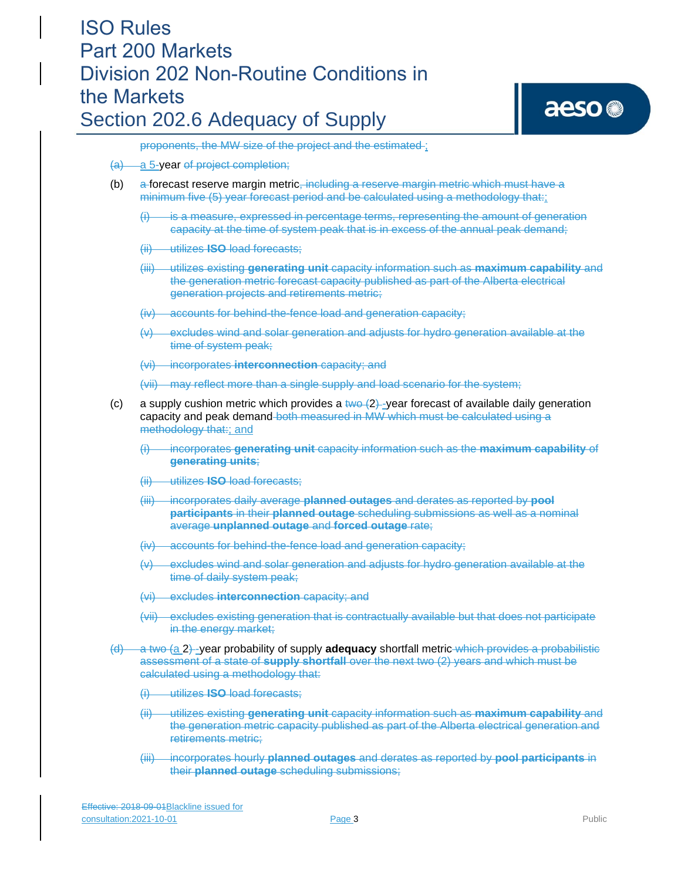proponents, the MW size of the project and the estimated ;

- (a) a 5-year of project completion;
- (b) a forecast reserve margin metric<sub> $<sub>1</sub>$  including a reserve margin metric which must have a</sub></sub> minimum five (5) year forecast period and be calculated using a methodology that:;
	- $(i)$  is a measure, expressed in percentage terms, representing the amount of generation capacity at the time of system peak that is in excess of the annual peak demand;
	- (ii) utilizes **ISO** load forecasts;
	- (iii) utilizes existing **generating unit** capacity information such as **maximum capability** and the generation metric forecast capacity published as part of the Alberta electrical generation projects and retirements metric;
	- (iv) accounts for behind-the-fence load and generation capacity;
	- (v) excludes wind and solar generation and adjusts for hydro generation available at the time of system peak;
	- (vi) incorporates **interconnection** capacity; and
	- (vii) may reflect more than a single supply and load scenario for the system;
- (c) a supply cushion metric which provides a two  $(2)$ -year forecast of available daily generation capacity and peak demand both measured in MW which must be calculated using a methodology that:; and
	- (i) incorporates **generating unit** capacity information such as the **maximum capability** of **generating units**;
	- (ii) utilizes **ISO** load forecasts;
	- (iii) incorporates daily average **planned outages** and derates as reported by **pool participants** in their **planned outage** scheduling submissions as well as a nominal average **unplanned outage** and **forced outage** rate;
	- (iv) accounts for behind-the-fence load and generation capacity;
	- (v) excludes wind and solar generation and adjusts for hydro generation available at the time of daily system peak;
	- (vi) excludes **interconnection** capacity; and
	- (vii) excludes existing generation that is contractually available but that does not participate in the energy market;
- (d) a two (a 2) -year probability of supply **adequacy** shortfall metric which provides a probabilistic assessment of a state of **supply shortfall** over the next two (2) years and which must be calculated using a methodology that:
	- (i) utilizes **ISO** load forecasts;
	- (ii) utilizes existing **generating unit** capacity information such as **maximum capability** and the generation metric capacity published as part of the Alberta electrical generation and retirements metric;
	- (iii) incorporates hourly **planned outages** and derates as reported by **pool participants** in their **planned outage** scheduling submissions;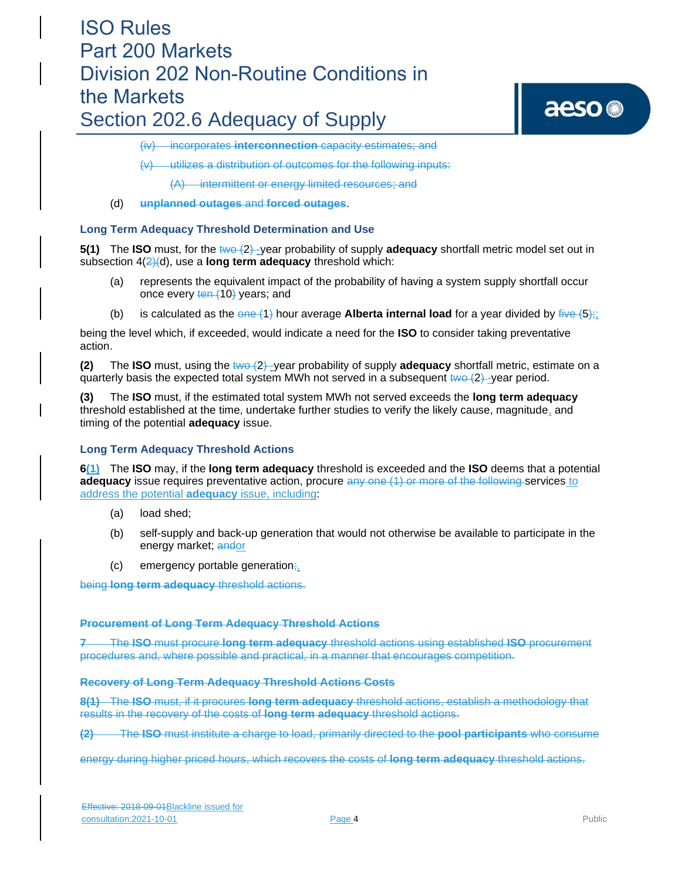# aeso<sup>®</sup>

(iv) incorporates **interconnection** capacity estimates; and

(v) utilizes a distribution of outcomes for the following inputs:

(A) intermittent or energy limited resources; and

(d) **unplanned outages** and **forced outages**.

### **Long Term Adequacy Threshold Determination and Use**

**5(1)** The **ISO** must, for the two  $(2)$ -year probability of supply **adequacy** shortfall metric model set out in subsection 4(2)(d), use a **long term adequacy** threshold which:

- (a) represents the equivalent impact of the probability of having a system supply shortfall occur once every ten (10) years; and
- (b) is calculated as the  $\theta$ ne (1) hour average **Alberta internal load** for a year divided by  $\theta$ <sub>i</sub>;

being the level which, if exceeded, would indicate a need for the **ISO** to consider taking preventative action.

**(2)** The **ISO** must, using the two  $(2)$ -year probability of supply **adequacy** shortfall metric, estimate on a quarterly basis the expected total system MWh not served in a subsequent  $two-2$  -year period.

**(3)** The **ISO** must, if the estimated total system MWh not served exceeds the **long term adequacy**  threshold established at the time, undertake further studies to verify the likely cause, magnitude, and timing of the potential **adequacy** issue.

### **Long Term Adequacy Threshold Actions**

**6(1)** The **ISO** may, if the **long term adequacy** threshold is exceeded and the **ISO** deems that a potential **adequacy** issue requires preventative action, procure any one (1) or more of the following services to address the potential **adequacy** issue, including:

- (a) load shed;
- (b) self-supply and back-up generation that would not otherwise be available to participate in the energy market; andor
- $(c)$  emergency portable generation;

being **long term adequacy** threshold actions.

### **Procurement of Long Term Adequacy Threshold Actions**

**7** The **ISO** must procure **long term adequacy** threshold actions using established **ISO** procurement procedures and, where possible and practical, in a manner that encourages competition.

### **Recovery of Long Term Adequacy Threshold Actions Costs**

**8(1)** The **ISO** must, if it procures **long term adequacy** threshold actions, establish a methodology that results in the recovery of the costs of **long term adequacy** threshold actions.

**(2)** The **ISO** must institute a charge to load, primarily directed to the **pool participants** who consume

energy during higher priced hours, which recovers the costs of **long term adequacy** threshold actions.